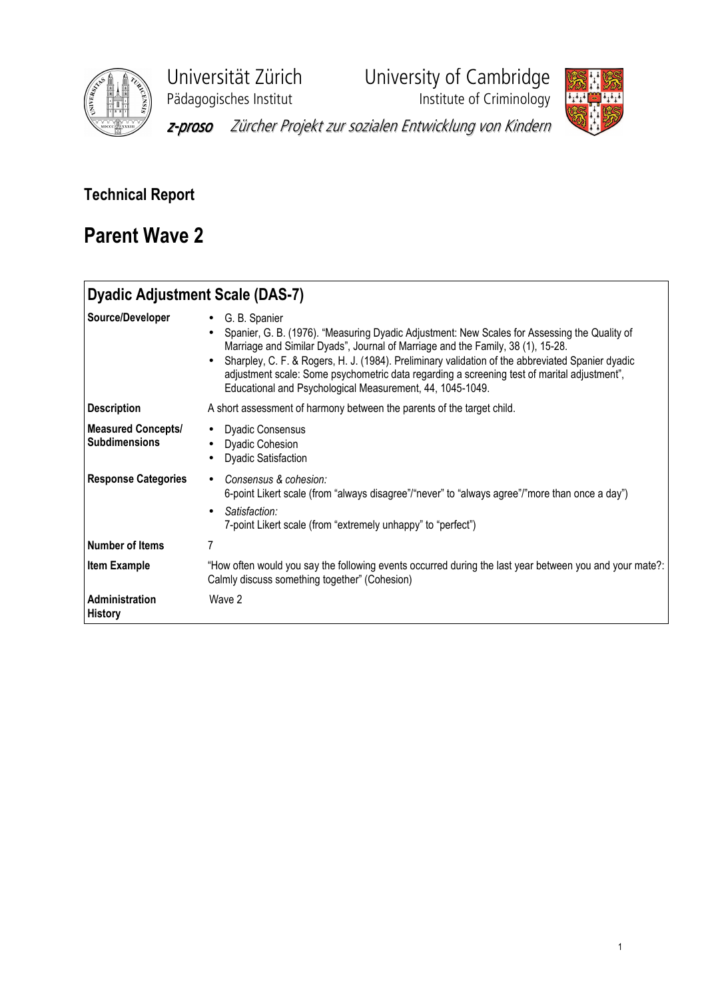

Universität Zürich University of Cambridge<br>Pädagogisches Institut Institute of Criminology

**Phagagogisches**<br>Institute of Criminology



z-proso Zürcher Projekt zur sozialen Entwicklung von Kindern

# Technical Report

# Parent Wave 2

| <b>Dyadic Adjustment Scale (DAS-7)</b>            |                                                                                                                                                                                                                                                                                                                                                                                                                                                                      |
|---------------------------------------------------|----------------------------------------------------------------------------------------------------------------------------------------------------------------------------------------------------------------------------------------------------------------------------------------------------------------------------------------------------------------------------------------------------------------------------------------------------------------------|
| Source/Developer                                  | • G. B. Spanier<br>Spanier, G. B. (1976). "Measuring Dyadic Adjustment: New Scales for Assessing the Quality of<br>Marriage and Similar Dyads", Journal of Marriage and the Family, 38 (1), 15-28.<br>• Sharpley, C. F. & Rogers, H. J. (1984). Preliminary validation of the abbreviated Spanier dyadic<br>adjustment scale: Some psychometric data regarding a screening test of marital adjustment",<br>Educational and Psychological Measurement, 44, 1045-1049. |
| <b>Description</b>                                | A short assessment of harmony between the parents of the target child.                                                                                                                                                                                                                                                                                                                                                                                               |
| <b>Measured Concepts/</b><br><b>Subdimensions</b> | • Dyadic Consensus<br><b>Dyadic Cohesion</b><br><b>Dyadic Satisfaction</b>                                                                                                                                                                                                                                                                                                                                                                                           |
| <b>Response Categories</b>                        | Consensus & cohesion:<br>6-point Likert scale (from "always disagree"/"never" to "always agree"/"more than once a day")<br>Satisfaction:<br>7-point Likert scale (from "extremely unhappy" to "perfect")                                                                                                                                                                                                                                                             |
| <b>Number of Items</b>                            | 7                                                                                                                                                                                                                                                                                                                                                                                                                                                                    |
| <b>Item Example</b>                               | "How often would you say the following events occurred during the last year between you and your mate?:<br>Calmly discuss something together" (Cohesion)                                                                                                                                                                                                                                                                                                             |
| <b>Administration</b><br><b>History</b>           | Wave 2                                                                                                                                                                                                                                                                                                                                                                                                                                                               |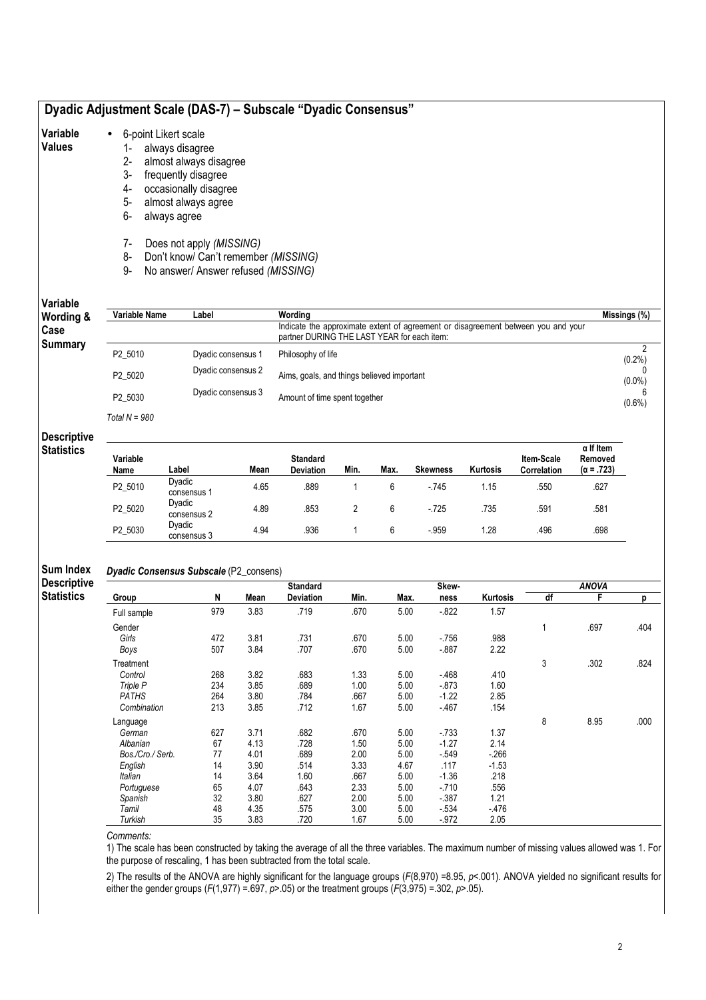# Dyadic Adjustment Scale (DAS-7) – Subscale "Dyadic Consensus"

### Variable • 6-point Likert scale

# Values

- 1- always disagree 2- almost always disagree
	- 3- frequently disagree
	- 4- occasionally disagree
	- 5- almost always agree
	- 6- always agree
	- 7- Does not apply (MISSING)
- 8- Don't know/ Can't remember (MISSING)
- 9- No answer/ Answer refused (MISSING)

# Variable W

| Wording & | Variable Name   | Label              | Wordina                                                                                                                          | Missings (%) |
|-----------|-----------------|--------------------|----------------------------------------------------------------------------------------------------------------------------------|--------------|
| Case      |                 |                    | Indicate the approximate extent of agreement or disagreement between you and your<br>partner DURING THE LAST YEAR for each item: |              |
| Summary   | P2 5010         | Dyadic consensus 1 | Philosophy of life                                                                                                               | (0.2%        |
|           | P2 5020         | Dyadic consensus 2 | Aims, goals, and things believed important                                                                                       | $(0.0\%)$    |
|           | P2 5030         | Dyadic consensus 3 | Amount of time spent together                                                                                                    | $(0.6\%)$    |
|           | Total $N = 980$ |                    |                                                                                                                                  |              |

## **Descriptive Statistics**

| Variable<br>Name | Label                 | Mean | <b>Standard</b><br><b>Deviation</b> | Min. | Max. | <b>Skewness</b> | <b>Kurtosis</b> | Item-Scale<br>Correlation | $\alpha$ If Item<br>Removed<br>$(\alpha = .723)$ |
|------------------|-----------------------|------|-------------------------------------|------|------|-----------------|-----------------|---------------------------|--------------------------------------------------|
| P2 5010          | Dyadic<br>consensus 1 | 4.65 | .889                                |      |      | $-745$          | 1.15            | .550                      | .627                                             |
| P2 5020          | Dyadic<br>consensus 2 | 4.89 | 853                                 |      | 6    | $-725$          | .735            | .591                      | .581                                             |
| P2 5030          | Dyadic<br>consensus 3 | 4.94 | .936                                |      | 6    | $-959$          | 1.28            | .496                      | .698                                             |

#### Sum Index Dyadic Consensus Subscale (P2\_consens)

Descriptive **Statistics** 

|                  |     |      | <b>Standard</b>  |      |      | Skew-    |          |    | <b>ANOVA</b> |      |
|------------------|-----|------|------------------|------|------|----------|----------|----|--------------|------|
| Group            | N   | Mean | <b>Deviation</b> | Min. | Max. | ness     | Kurtosis | df | F            | р    |
| Full sample      | 979 | 3.83 | .719             | .670 | 5.00 | $-822$   | 1.57     |    |              |      |
| Gender           |     |      |                  |      |      |          |          | 1  | .697         | .404 |
| Girls            | 472 | 3.81 | .731             | .670 | 5.00 | $-756$   | .988     |    |              |      |
| Boys             | 507 | 3.84 | .707             | .670 | 5.00 | $-0.887$ | 2.22     |    |              |      |
| Treatment        |     |      |                  |      |      |          |          | 3  | .302         | .824 |
| Control          | 268 | 3.82 | .683             | 1.33 | 5.00 | - 468    | .410     |    |              |      |
| Triple P         | 234 | 3.85 | .689             | 1.00 | 5.00 | $-873$   | 1.60     |    |              |      |
| <b>PATHS</b>     | 264 | 3.80 | .784             | .667 | 5.00 | $-1.22$  | 2.85     |    |              |      |
| Combination      | 213 | 3.85 | .712             | 1.67 | 5.00 | $-467$   | .154     |    |              |      |
| Language         |     |      |                  |      |      |          |          | 8  | 8.95         | .000 |
| German           | 627 | 3.71 | .682             | .670 | 5.00 | $-733$   | 1.37     |    |              |      |
| Albanian         | 67  | 4.13 | .728             | 1.50 | 5.00 | $-1.27$  | 2.14     |    |              |      |
| Bos./Cro./ Serb. | 77  | 4.01 | .689             | 2.00 | 5.00 | $-549$   | $-266$   |    |              |      |
| English          | 14  | 3.90 | .514             | 3.33 | 4.67 | .117     | $-1.53$  |    |              |      |
| Italian          | 14  | 3.64 | 1.60             | .667 | 5.00 | $-1.36$  | .218     |    |              |      |
| Portuguese       | 65  | 4.07 | .643             | 2.33 | 5.00 | $-710$   | .556     |    |              |      |
| Spanish          | 32  | 3.80 | .627             | 2.00 | 5.00 | $-387$   | 1.21     |    |              |      |
| Tamil            | 48  | 4.35 | .575             | 3.00 | 5.00 | $-534$   | $-476$   |    |              |      |
| Turkish          | 35  | 3.83 | .720             | 1.67 | 5.00 | $-972$   | 2.05     |    |              |      |

Comments:

1) The scale has been constructed by taking the average of all the three variables. The maximum number of missing values allowed was 1. For the purpose of rescaling, 1 has been subtracted from the total scale.

2) The results of the ANOVA are highly significant for the language groups ( $F(8,970)$  =8.95,  $p$ <.001). ANOVA yielded no significant results for either the gender groups (F(1,977) = .697,  $p$ >.05) or the treatment groups (F(3,975) = .302,  $p$ >.05).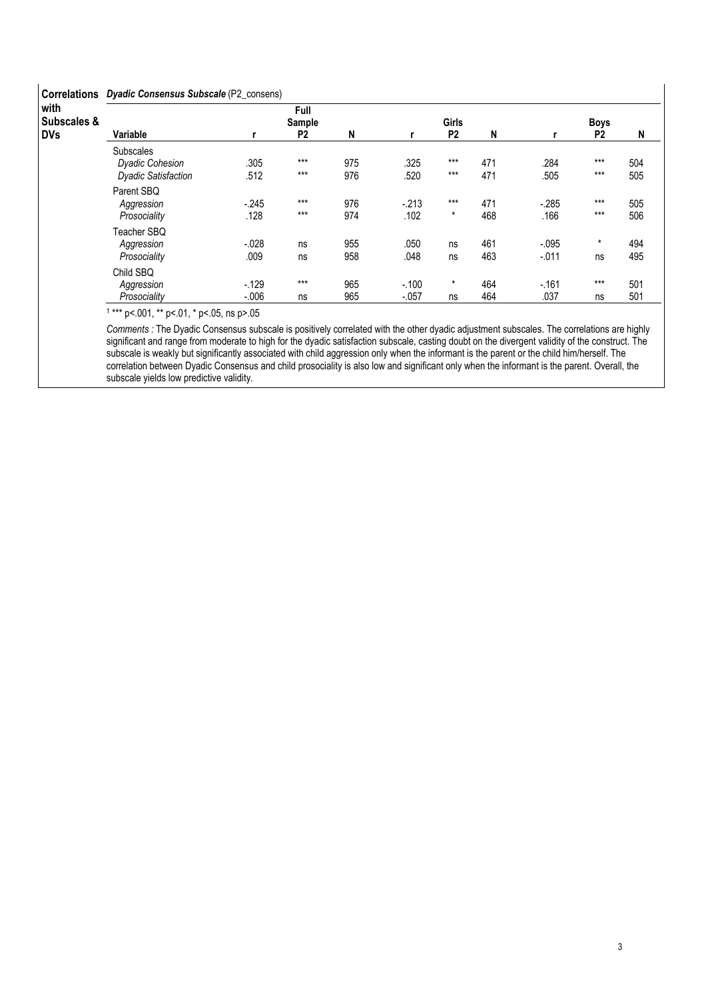# Correlations Dyadic Consensus Subscale (P2\_consens)

| <b>UUILGIALIUIS</b>               | <b>Pydalo Consciistes Capscalo</b> (F. 20016618)                         |                    |                                  |            |                    |                                |            |                    |                               |            |
|-----------------------------------|--------------------------------------------------------------------------|--------------------|----------------------------------|------------|--------------------|--------------------------------|------------|--------------------|-------------------------------|------------|
| with<br>Subscales &<br><b>DVs</b> | Variable                                                                 |                    | Full<br>Sample<br>P <sub>2</sub> | N          |                    | <b>Girls</b><br>P <sub>2</sub> | N          |                    | <b>Boys</b><br>P <sub>2</sub> | N          |
|                                   | <b>Subscales</b><br><b>Dyadic Cohesion</b><br><b>Dyadic Satisfaction</b> | .305<br>.512       | $***$<br>$***$                   | 975<br>976 | .325<br>.520       | $***$<br>$***$                 | 471<br>471 | .284<br>.505       | $***$<br>$***$                | 504<br>505 |
|                                   | Parent SBQ<br>Aggression<br>Prosociality                                 | $-245$<br>.128     | $***$<br>$***$                   | 976<br>974 | $-213$<br>.102     | $***$<br>$\star$               | 471<br>468 | $-285$<br>.166     | $***$<br>$***$                | 505<br>506 |
|                                   | Teacher SBQ<br>Aggression<br>Prosociality                                | $-.028$<br>.009    | ns<br>ns                         | 955<br>958 | .050<br>.048       | ns<br>ns                       | 461<br>463 | $-.095$<br>$-.011$ | *<br>ns                       | 494<br>495 |
|                                   | Child SBQ<br>Aggression<br>Prosociality                                  | $-129$<br>$-0.006$ | $***$<br>ns                      | 965<br>965 | $-.100$<br>$-.057$ | $\star$<br>ns                  | 464<br>464 | $-.161$<br>.037    | $***$<br>ns                   | 501<br>501 |

1 \*\*\* p<.001, \*\* p<.01, \* p<.05, ns p>.05

Comments : The Dyadic Consensus subscale is positively correlated with the other dyadic adjustment subscales. The correlations are highly significant and range from moderate to high for the dyadic satisfaction subscale, casting doubt on the divergent validity of the construct. The subscale is weakly but significantly associated with child aggression only when the informant is the parent or the child him/herself. The correlation between Dyadic Consensus and child prosociality is also low and significant only when the informant is the parent. Overall, the subscale yields low predictive validity.

 $\mathsf{l}$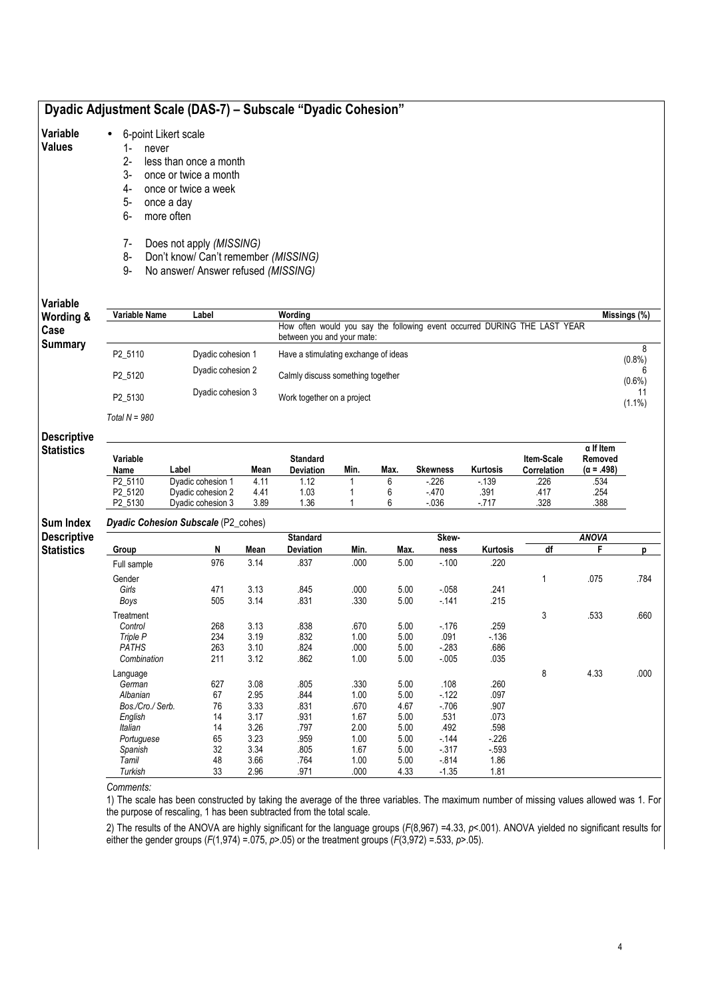# Dyadic Adjustment Scale (DAS-7) – Subscale "Dyadic Cohesion"

#### Variable • 6-point Likert scale

## Values

- 1- never<br>2- less th less than once a month
- 3- once or twice a month
- 4- once or twice a week
- 5- once a day
- 6- more often
- 7- Does not apply (MISSING)
- 8- Don't know/ Can't remember (MISSING)
- 9- No answer/ Answer refused (MISSING)

# Variable W

| Wording &      | Variable Name   | Label             | Wordina                                                                                                 | Missings (%) |
|----------------|-----------------|-------------------|---------------------------------------------------------------------------------------------------------|--------------|
| Case           |                 |                   | How often would you say the following event occurred DURING THE LAST YEAR<br>between you and your mate: |              |
| <b>Summary</b> | P2 5110         | Dyadic cohesion 1 | Have a stimulating exchange of ideas                                                                    | $(0.8\%)$    |
|                | P2 5120         | Dyadic cohesion 2 | Calmly discuss something together                                                                       | $(0.6\%)$    |
|                | P2 5130         | Dyadic cohesion 3 | Work together on a project                                                                              | $(1.1\%)$    |
|                | Total $N = 980$ |                   |                                                                                                         |              |

## **Descriptive Statistics**

| Variable<br>Name    | _abel             | Mean | <b>Standard</b><br><b>Deviation</b> | Min. | Max | <b>Skewness</b> | Kurtosis | <b>Item-Scale</b><br>Correlation | $\alpha$ If Item<br>Removed<br>$(\alpha = .498)$ |
|---------------------|-------------------|------|-------------------------------------|------|-----|-----------------|----------|----------------------------------|--------------------------------------------------|
| P <sub>2</sub> 5110 | Dvadic cohesion 1 | 4.11 | .12                                 |      |     | $-226$          | $-139$   | .226                             | .534                                             |
| P2 5120             | Dvadic cohesion 2 | 4.41 | 1.03                                |      |     | $-470$          | .391     | .417                             | .254                                             |
| P2 5130             | Dvadic cohesion 3 | 3.89 | .36                                 |      |     | $-0.36$         | $-717$   | .328                             | .388                                             |

### Dyadic Cohesion Subscale (P2\_cohes)

Sum Index Descr Statis

| riptive |                  |     |      | <b>Standard</b> |      |      | Skew-    |          |    | <b>ANOVA</b> |      |
|---------|------------------|-----|------|-----------------|------|------|----------|----------|----|--------------|------|
| Group   |                  | N   | Mean | Deviation       | Min. | Max. | ness     | Kurtosis | df | F            | D    |
|         | Full sample      | 976 | 3.14 | .837            | .000 | 5.00 | $-100$   | .220     |    |              |      |
|         | Gender           |     |      |                 |      |      |          |          |    | .075         | .784 |
|         | Girls            | 471 | 3.13 | .845            | .000 | 5.00 | $-0.058$ | .241     |    |              |      |
|         | Boys             | 505 | 3.14 | .831            | .330 | 5.00 | $-141$   | .215     |    |              |      |
|         | Treatment        |     |      |                 |      |      |          |          | 3  | .533         | .660 |
|         | Control          | 268 | 3.13 | .838            | .670 | 5.00 | $-176$   | .259     |    |              |      |
|         | Triple P         | 234 | 3.19 | .832            | 1.00 | 5.00 | .091     | $-136$   |    |              |      |
|         | <b>PATHS</b>     | 263 | 3.10 | .824            | .000 | 5.00 | $-283$   | .686     |    |              |      |
|         | Combination      | 211 | 3.12 | .862            | 1.00 | 5.00 | $-0.005$ | .035     |    |              |      |
|         | Language         |     |      |                 |      |      |          |          | 8  | 4.33         | .000 |
|         | German           | 627 | 3.08 | .805            | .330 | 5.00 | .108     | .260     |    |              |      |
|         | Albanian         | 67  | 2.95 | .844            | 1.00 | 5.00 | $-122$   | .097     |    |              |      |
|         | Bos./Cro./ Serb. | 76  | 3.33 | .831            | .670 | 4.67 | $-706$   | .907     |    |              |      |
|         | English          | 14  | 3.17 | .931            | 1.67 | 5.00 | .531     | .073     |    |              |      |
|         | <b>Italian</b>   | 14  | 3.26 | .797            | 2.00 | 5.00 | .492     | .598     |    |              |      |
|         | Portuguese       | 65  | 3.23 | .959            | 1.00 | 5.00 | $-144$   | $-226$   |    |              |      |
|         | Spanish          | 32  | 3.34 | .805            | 1.67 | 5.00 | $-317$   | $-593$   |    |              |      |
|         | Tamil            | 48  | 3.66 | .764            | 1.00 | 5.00 | $-814$   | 1.86     |    |              |      |
|         | Turkish          | 33  | 2.96 | .971            | .000 | 4.33 | $-1.35$  | 1.81     |    |              |      |

Comments:

1) The scale has been constructed by taking the average of the three variables. The maximum number of missing values allowed was 1. For the purpose of rescaling, 1 has been subtracted from the total scale.

2) The results of the ANOVA are highly significant for the language groups (F(8,967) =4.33, p<.001). ANOVA yielded no significant results for either the gender groups ( $F(1,974) = 0.075$ ,  $p > .05$ ) or the treatment groups ( $F(3,972) = .533$ ,  $p > .05$ ).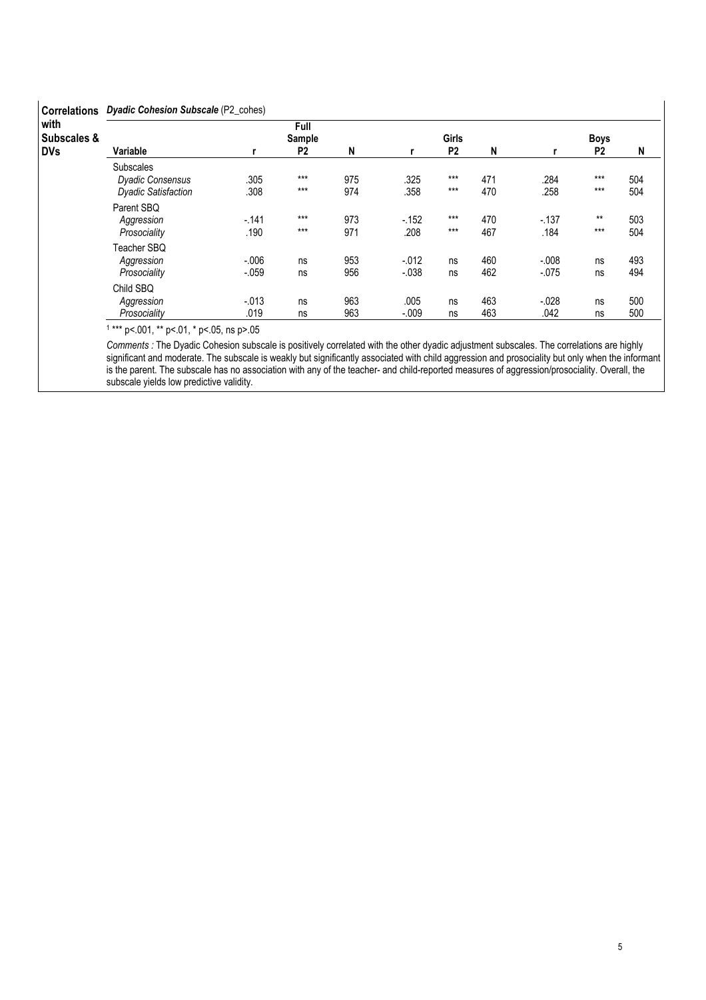| <b>Correlations</b>                          | Dyadic Cohesion Subscale (P2_cohes)                                       |                     |                                  |            |                    |                                |            |                    |                               |            |
|----------------------------------------------|---------------------------------------------------------------------------|---------------------|----------------------------------|------------|--------------------|--------------------------------|------------|--------------------|-------------------------------|------------|
| with<br><b>Subscales &amp;</b><br><b>DVs</b> | Variable                                                                  |                     | Full<br>Sample<br>P <sub>2</sub> | N          | r                  | <b>Girls</b><br>P <sub>2</sub> | N          |                    | <b>Boys</b><br>P <sub>2</sub> | N          |
|                                              | <b>Subscales</b><br><b>Dyadic Consensus</b><br><b>Dyadic Satisfaction</b> | .305<br>.308        | $***$<br>$***$                   | 975<br>974 | .325<br>.358       | $***$<br>$***$                 | 471<br>470 | .284<br>.258       | $***$<br>$***$                | 504<br>504 |
|                                              | Parent SBQ<br>Aggression<br>Prosociality                                  | $-.141$<br>.190     | $***$<br>$***$                   | 973<br>971 | $-152$<br>.208     | $***$<br>$***$                 | 470<br>467 | $-137$<br>.184     | $***$<br>$***$                | 503<br>504 |
|                                              | Teacher SBQ<br>Aggression<br>Prosociality                                 | $-0.006$<br>$-.059$ | ns<br>ns                         | 953<br>956 | $-.012$<br>$-.038$ | ns<br>ns                       | 460<br>462 | $-.008$<br>$-.075$ | ns<br>ns                      | 493<br>494 |
|                                              | Child SBQ<br>Aggression<br>Prosociality                                   | $-0.013$<br>.019    | ns<br>ns                         | 963<br>963 | .005<br>$-.009$    | ns<br>ns                       | 463<br>463 | $-0.028$<br>.042   | ns<br>ns                      | 500<br>500 |

1 \*\*\* p<.001, \*\* p<.01, \* p<.05, ns p>.05

Comments : The Dyadic Cohesion subscale is positively correlated with the other dyadic adjustment subscales. The correlations are highly significant and moderate. The subscale is weakly but significantly associated with child aggression and prosociality but only when the informant is the parent. The subscale has no association with any of the teacher- and child-reported measures of aggression/prosociality. Overall, the subscale yields low predictive validity.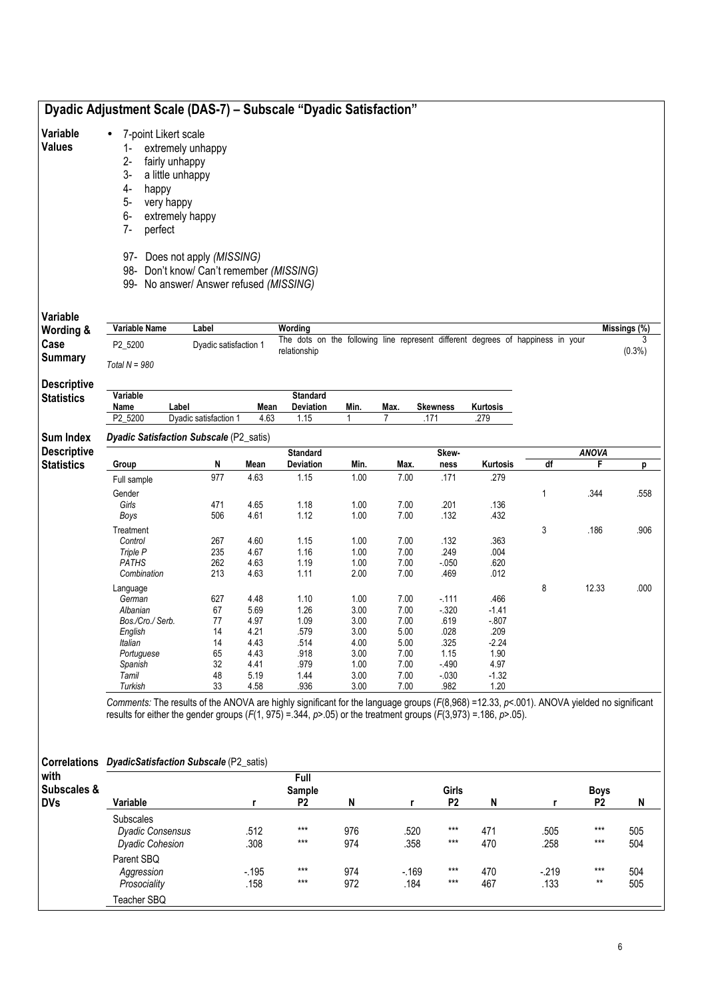|                                         |                                                                                                                          | Dyadic Adjustment Scale (DAS-7) - Subscale "Dyadic Satisfaction"                                                                                                                                                                                                               |                |                                                                                                 |              |                |                         |                  |                |                               |              |
|-----------------------------------------|--------------------------------------------------------------------------------------------------------------------------|--------------------------------------------------------------------------------------------------------------------------------------------------------------------------------------------------------------------------------------------------------------------------------|----------------|-------------------------------------------------------------------------------------------------|--------------|----------------|-------------------------|------------------|----------------|-------------------------------|--------------|
| Variable<br><b>Values</b>               | 7-point Likert scale<br>$\bullet$<br>$1 -$<br>$2-$<br>$3-$<br>4-<br>happy<br>$5-$<br>very happy<br>6-<br>$7-$<br>perfect | extremely unhappy<br>fairly unhappy<br>a little unhappy<br>extremely happy<br>97- Does not apply (MISSING)<br>98- Don't know/ Can't remember (MISSING)<br>99- No answer/ Answer refused (MISSING)                                                                              |                |                                                                                                 |              |                |                         |                  |                |                               |              |
| Variable                                |                                                                                                                          |                                                                                                                                                                                                                                                                                |                |                                                                                                 |              |                |                         |                  |                |                               |              |
| Wording &                               | Variable Name                                                                                                            | Label                                                                                                                                                                                                                                                                          |                | Wording                                                                                         |              |                |                         |                  |                |                               | Missings (%) |
| Case<br><b>Summary</b>                  | P2_5200<br>Total $N = 980$                                                                                               | Dyadic satisfaction 1                                                                                                                                                                                                                                                          |                | The dots on the following line represent different degrees of happiness in your<br>relationship |              |                |                         |                  |                |                               | (0.3%)       |
| <b>Descriptive</b><br><b>Statistics</b> | Variable                                                                                                                 |                                                                                                                                                                                                                                                                                |                | <b>Standard</b>                                                                                 |              |                |                         |                  |                |                               |              |
|                                         | Name<br>P2_5200                                                                                                          | Label<br>Dyadic satisfaction 1                                                                                                                                                                                                                                                 | Mean<br>4.63   | <b>Deviation</b><br>1.15                                                                        | Min.<br>1    | Max.<br>7      | <b>Skewness</b><br>.171 | Kurtosis<br>.279 |                |                               |              |
|                                         |                                                                                                                          |                                                                                                                                                                                                                                                                                |                |                                                                                                 |              |                |                         |                  |                |                               |              |
| Sum Index                               |                                                                                                                          | Dyadic Satisfaction Subscale (P2_satis)                                                                                                                                                                                                                                        |                |                                                                                                 |              |                |                         |                  |                |                               |              |
| <b>Descriptive</b><br><b>Statistics</b> | Group                                                                                                                    | N                                                                                                                                                                                                                                                                              | Mean           | <b>Standard</b><br>Deviation                                                                    | Min.         | Max.           | Skew-<br>ness           | Kurtosis         | df             | <b>ANOVA</b><br>F             | р            |
|                                         | Full sample                                                                                                              | 977                                                                                                                                                                                                                                                                            | 4.63           | 1.15                                                                                            | 1.00         | 7.00           | .171                    | .279             |                |                               |              |
|                                         | Gender                                                                                                                   |                                                                                                                                                                                                                                                                                |                |                                                                                                 |              |                |                         |                  | 1              | .344                          | .558         |
|                                         | Girls                                                                                                                    | 471                                                                                                                                                                                                                                                                            | 4.65           | 1.18                                                                                            | 1.00         | 7.00           | .201                    | .136             |                |                               |              |
|                                         | Boys                                                                                                                     | 506                                                                                                                                                                                                                                                                            | 4.61           | 1.12                                                                                            | 1.00         | 7.00           | .132                    | .432             |                |                               |              |
|                                         | Treatment                                                                                                                |                                                                                                                                                                                                                                                                                |                |                                                                                                 |              |                |                         |                  | 3              | .186                          | .906         |
|                                         | Control<br>Triple P                                                                                                      | 267<br>235                                                                                                                                                                                                                                                                     | 4.60<br>4.67   | 1.15<br>1.16                                                                                    | 1.00<br>1.00 | 7.00<br>7.00   | .132<br>.249            | .363<br>.004     |                |                               |              |
|                                         | <b>PATHS</b>                                                                                                             | 262                                                                                                                                                                                                                                                                            | 4.63           | 1.19                                                                                            | 1.00         | 7.00           | $-0.050$                | .620             |                |                               |              |
|                                         | Combination                                                                                                              | 213                                                                                                                                                                                                                                                                            | 4.63           | 1.11                                                                                            | 2.00         | 7.00           | .469                    | .012             |                |                               |              |
|                                         | Language                                                                                                                 |                                                                                                                                                                                                                                                                                |                |                                                                                                 |              |                |                         |                  | 8              | 12.33                         | .000         |
|                                         | German                                                                                                                   | 627                                                                                                                                                                                                                                                                            | 4.48           | 1.10                                                                                            | 1.00         | 7.00           | $-111$                  | .466             |                |                               |              |
|                                         | Albanian                                                                                                                 | 67                                                                                                                                                                                                                                                                             | 5.69           | 1.26                                                                                            | 3.00         | 7.00           | $-0.320$                | $-1.41$          |                |                               |              |
|                                         | Bos./Cro./ Serb.<br>English                                                                                              | 77<br>14                                                                                                                                                                                                                                                                       | 4.97<br>4.21   | 1.09<br>.579                                                                                    | 3.00<br>3.00 | 7.00<br>5.00   | .619<br>.028            | $-0.807$<br>.209 |                |                               |              |
|                                         | Italian                                                                                                                  | 14                                                                                                                                                                                                                                                                             | 4.43           | .514                                                                                            | 4.00         | 5.00           | .325                    | $-2.24$          |                |                               |              |
|                                         | Portuguese                                                                                                               | 65                                                                                                                                                                                                                                                                             | 4.43           | .918                                                                                            | 3.00         | 7.00           | 1.15                    | 1.90             |                |                               |              |
|                                         | Spanish                                                                                                                  | 32                                                                                                                                                                                                                                                                             | 4.41           | .979                                                                                            | 1.00         | 7.00           | $-490$                  | 4.97             |                |                               |              |
|                                         | Tamil<br>Turkish                                                                                                         | 48<br>33                                                                                                                                                                                                                                                                       | 5.19<br>4.58   | 1.44<br>.936                                                                                    | 3.00<br>3.00 | 7.00<br>7.00   | $-0.30$<br>.982         | $-1.32$<br>1.20  |                |                               |              |
|                                         |                                                                                                                          | Comments: The results of the ANOVA are highly significant for the language groups (F(8,968) =12.33, p<.001). ANOVA yielded no significant<br>results for either the gender groups ( $F(1, 975) = 344$ , $p > .05$ ) or the treatment groups ( $F(3,973) = .186$ , $p > .05$ ). |                |                                                                                                 |              |                |                         |                  |                |                               |              |
| <b>Correlations</b><br>with             |                                                                                                                          | DyadicSatisfaction Subscale (P2_satis)                                                                                                                                                                                                                                         |                | Full                                                                                            |              |                |                         |                  |                |                               |              |
| Subscales &<br><b>DVs</b>               | Variable                                                                                                                 |                                                                                                                                                                                                                                                                                | r              | Sample<br>P <sub>2</sub>                                                                        | N            | r              | Girls<br>P <sub>2</sub> | N                | r              | <b>Boys</b><br>P <sub>2</sub> | N            |
|                                         | <b>Subscales</b><br><b>Dyadic Consensus</b><br><b>Dyadic Cohesion</b>                                                    |                                                                                                                                                                                                                                                                                | .512<br>.308   | $***$<br>$***$                                                                                  | 976<br>974   | .520<br>.358   | $***$<br>$***$          | 471<br>470       | .505<br>.258   | $***$<br>$***$                | 505<br>504   |
|                                         | Parent SBQ<br>Aggression<br>Prosociality                                                                                 |                                                                                                                                                                                                                                                                                | $-195$<br>.158 | $***$<br>$***$                                                                                  | 974<br>972   | $-169$<br>.184 | $***$<br>$***$          | 470<br>467       | $-219$<br>.133 | $***$<br>**                   | 504<br>505   |
|                                         | Teacher SBQ                                                                                                              |                                                                                                                                                                                                                                                                                |                |                                                                                                 |              |                |                         |                  |                |                               |              |